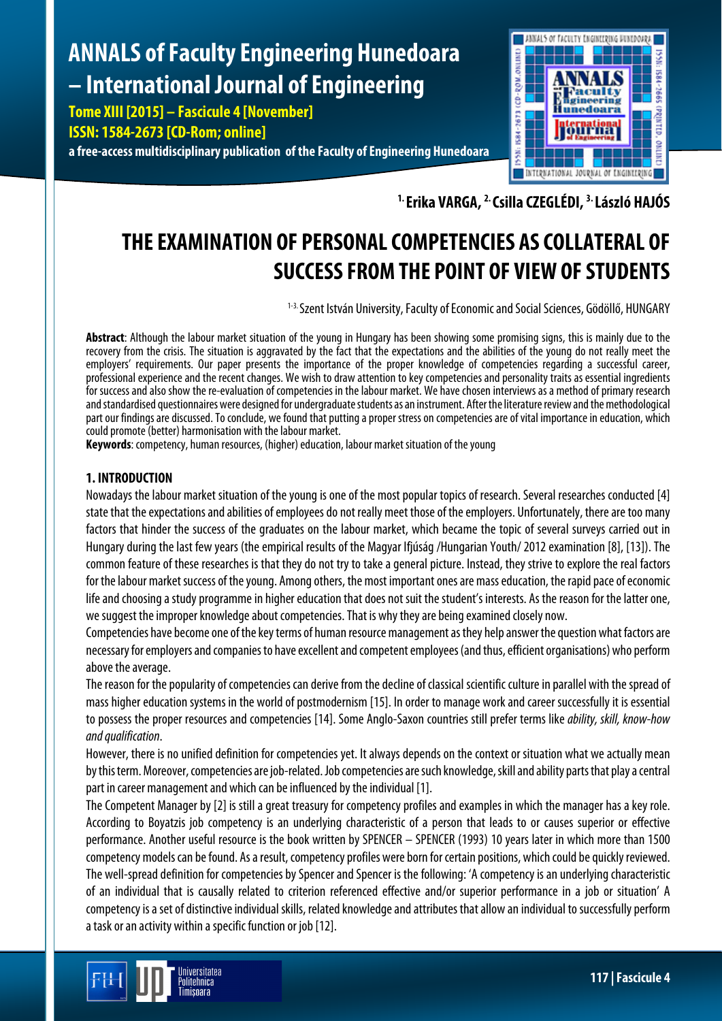# **ANNALS of Faculty Engineering Hunedoara – International Journal of Engineering**

**Tome XIII [2015] – Fascicule 4 [November] ISSN: 1584-2673 [CD-Rom; online]**

**a free-access multidisciplinary publication of the Faculty of Engineering Hunedoara**



**1. Erika VARGA, 2. Csilla CZEGLÉDI, 3. László HAJÓS**

# **THE EXAMINATION OF PERSONAL COMPETENCIES AS COLLATERAL OF SUCCESSFROM THE POINT OF VIEW OF STUDENTS**

<sup>1-3.</sup> Szent István University, Faculty of Economic and Social Sciences, Gödöllő, HUNGARY

**Abstract**: Although the labour market situation of the young in Hungary has been showing some promising signs, this is mainly due to the recovery from the crisis. The situation is aggravated by the fact that the expectations and the abilities of the young do not really meet the employers' requirements. Our paper presents the importance of the proper knowledge of competencies regarding a successful career, professional experience and the recent changes. We wish to draw attention to key competencies and personality traits as essential ingredients for success and also show the re-evaluation of competencies in the labour market. We have chosen interviews as a method of primary research and standardised questionnaires were designed for undergraduate students as an instrument. After the literature review and the methodological part our findings are discussed. To conclude, we found that putting a proper stress on competencies are of vital importance in education, which could promote (better) harmonisation with the labour market.

**Keywords**: competency, human resources, (higher) education, labour market situation of the young

# **1. INTRODUCTION**

Nowadays the labour market situation of the young is one of the most popular topics of research. Several researches conducted[4] state that the expectations and abilities of employees do not really meet those of the employers. Unfortunately, there are too many factors that hinder the success of the graduates on the labour market, which became the topic of several surveys carried out in Hungary during the last few years (the empirical results of the Magyar Ifjúság /Hungarian Youth/ 2012 examination [8], [13]). The common feature of these researches is that they do not try to take a general picture. Instead, they strive to explore the real factors for the labour market success of the young. Among others, the most important ones are mass education, the rapid pace of economic life and choosing a study programme in higher education that does not suit the student's interests. As the reason for the latter one, we suggest the improper knowledge about competencies. That is why they are being examined closely now.

Competencies have become one of the key terms of human resource management as they help answer the question what factors are necessary for employers and companies to have excellent and competent employees (and thus, efficient organisations) who perform above the average.

The reason for the popularity of competencies can derive from the decline of classical scientific culture in parallel with the spread of mass higher education systems in the world of postmodernism [15]. In order to manage work and career successfully it is essential to possess the proper resources and competencies [14]. Some Anglo-Saxon countries still prefer terms like *ability, skill, know-how and qualification*.

However, there is no unified definition for competencies yet. It always depends on the context or situation what we actually mean by this term. Moreover, competencies are job-related. Job competencies are such knowledge, skill and ability parts that play a central part in career management and which can be influenced by the individual [1].

The Competent Manager by [2] is still a great treasury for competency profiles and examples in which the manager has a key role. According to Boyatzis job competency is an underlying characteristic of a person that leads to or causes superior or effective performance. Another useful resource is the book written by SPENCER – SPENCER (1993) 10 years later in which more than 1500 competency models can be found. As a result, competency profiles were born for certain positions, which could be quickly reviewed. The well-spread definition for competencies by Spencer and Spencer is the following: 'A competency is an underlying characteristic of an individual that is causally related to criterion referenced effective and/or superior performance in a job or situation' A competency is a set of distinctive individual skills, related knowledge and attributes that allow an individual to successfully perform a task or an activity within a specific function or job [12].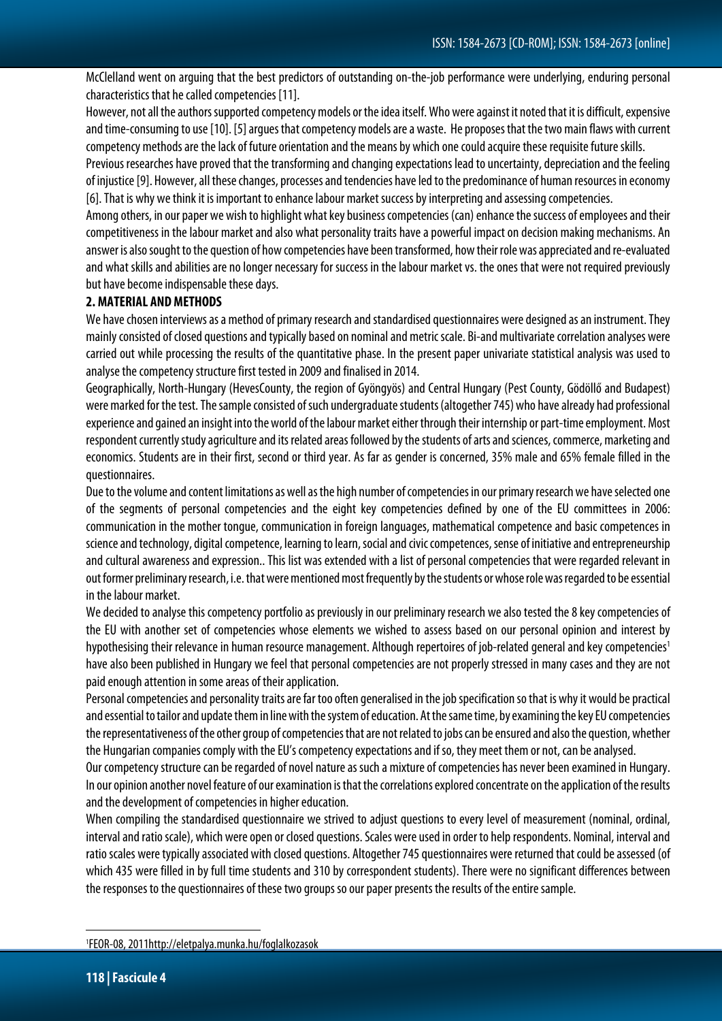McClelland went on arguing that the best predictors of outstanding on-the-job performance were underlying, enduring personal characteristics that he called competencies [11].

However, not all the authors supported competency models or the idea itself. Who were against it noted that it is difficult, expensive and time-consuming to use[10]. [5] argues that competency models are a waste. He proposes that the two main flaws with current competency methods are the lack of future orientation and the means by which one could acquire these requisite future skills.

Previous researches have proved that the transforming and changing expectations lead to uncertainty, depreciation and the feeling of injustice [9]. However, all these changes, processes and tendencies have led to the predominance of human resources in economy [6]. That is why we think it is important to enhance labour market success by interpreting and assessing competencies.

Among others, in our paper we wish to highlight what key business competencies (can) enhance the success of employees and their competitiveness in the labour market and also what personality traits have a powerful impact on decision making mechanisms. An answer is also sought to the question of how competencies have been transformed, how their role was appreciated and re-evaluated and what skills and abilities are no longer necessary for success in the labour market vs. the ones that were not required previously but have become indispensable these days.

### **2. MATERIAL AND METHODS**

We have chosen interviews as a method of primary research and standardised questionnaires were designed as an instrument. They mainly consisted of closed questions and typically based on nominal and metric scale. Bi-and multivariate correlation analyses were carried out while processing the results of the quantitative phase. In the present paper univariate statistical analysis was used to analyse the competency structure first tested in 2009 and finalised in 2014.

Geographically, North-Hungary (HevesCounty, the region of Gyöngyös) and Central Hungary (Pest County, Gödöllő and Budapest) were marked for the test. The sample consisted of such undergraduate students (altogether 745) who have already had professional experience and gained an insight into the world of the labour market either through their internship or part-time employment. Most respondent currently study agriculture and its related areas followed by the students of arts and sciences, commerce, marketing and economics. Students are in their first, second or third year. As far as gender is concerned, 35% male and 65% female filled in the questionnaires.

Due to the volume and content limitations as well as the high number of competencies in our primary research we have selected one of the segments of personal competencies and the eight key competencies defined by one of the EU committees in 2006: communication in the mother tongue, communication in foreign languages, mathematical competence and basic competences in science and technology, digital competence, learning to learn, social and civic competences, sense of initiative and entrepreneurship and cultural awareness and expression.. This list was extended with a list of personal competencies that were regarded relevant in out former preliminary research, i.e. that were mentioned most frequently by the students or whose role was regarded to be essential in the labour market.

We decided to analyse this competency portfolio as previously in our preliminary research we also tested the 8 key competencies of the EU with another set of competencies whose elements we wished to assess based on our personal opinion and interest by hypothesising their relevance in human resource management. Although repertoires of job-related general and key competencies<sup>1</sup> have also been published in Hungary we feel that personal competencies are not properly stressed in many cases and they are not paid enough attention in some areas of their application.

Personal competencies and personality traits are far too often generalised in the job specification so that is why it would be practical and essential to tailor and update themin line with the system of education. At the same time, by examining the key EU competencies the representativeness of the other group of competencies that are not related to jobs can be ensured and also the question, whether the Hungarian companies comply with the EU's competency expectations and if so, they meet them or not, can be analysed.

Our competency structure can be regarded of novel nature as such a mixture of competencies has never been examined in Hungary. In our opinion another novel feature of our examination is that the correlations explored concentrate on the application of the results and the development of competencies in higher education.

When compiling the standardised questionnaire we strived to adjust questions to every level of measurement (nominal, ordinal, interval and ratio scale), which were open or closed questions. Scales were used in order to help respondents. Nominal, interval and ratio scales were typically associated with closed questions. Altogether 745 questionnaires were returned that could be assessed (of which 435 were filled in by full time students and 310 by correspondent students). There were no significant differences between the responses to the questionnaires of these two groups so our paper presents the results of the entire sample.

 $\overline{a}$ 

<sup>1</sup> FEOR-08, 2011http://eletpalya.munka.hu/foglalkozasok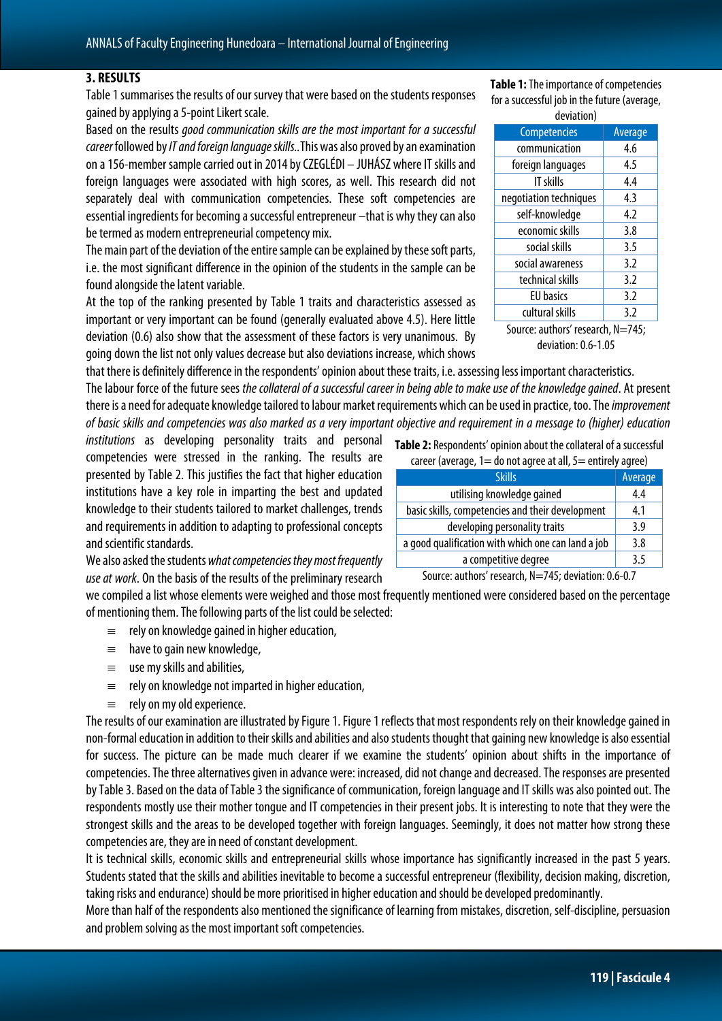#### **3. RESULTS**

Table 1 summarises the results of our survey that were based on the students responses gained by applying a 5-point Likert scale.

Based on the results *good communication skills are the most important for a successful career* followed by*IT and foreign language skills..*This was also proved by an examination on a 156-member sample carried out in 2014 by CZEGLÉDI – JUHÁSZ where IT skills and foreign languages were associated with high scores, as well. This research did not separately deal with communication competencies. These soft competencies are essential ingredients for becoming a successful entrepreneur –that is why they can also be termed as modern entrepreneurial competency mix.

The main part of the deviation of the entire sample can be explained by these soft parts, i.e. the most significant difference in the opinion of the students in the sample can be found alongside the latent variable.

At the top of the ranking presented by Table 1 traits and characteristics assessed as important or very important can be found (generally evaluated above 4.5). Here little deviation (0.6) also show that the assessment of these factors is very unanimous. By going down the list not only values decrease but also deviations increase, which shows

that there is definitely difference in the respondents' opinion about these traits, i.e. assessing less important characteristics. The labour force of the future sees *the collateral of a successful career in being able to make use of the knowledge gained*. At present there is a need for adequate knowledge tailored to labour market requirements which can be used in practice, too. The *improvement of basic skills and competencies was also marked as a very important objective and requirement in a message to (higher) education* 

*institutions* as developing personality traits and personal competencies were stressed in the ranking. The results are presented by Table 2. This justifies the fact that higher education institutions have a key role in imparting the best and updated knowledge to their students tailored to market challenges, trends and requirements in addition to adapting to professional concepts and scientific standards.

We also asked the students *what competencies they most frequently use at work*. On the basis of the results of the preliminary research

we compiled a list whose elements were weighed and those most frequently mentioned were considered based on the percentage of mentioning them. The following parts of the list could be selected:

- $\equiv$  rely on knowledge gained in higher education,
- ≡ have to gain new knowledge,
- $\equiv$  use my skills and abilities,
- $\equiv$  rely on knowledge not imparted in higher education,
- ≡ rely on my old experience.

The results of our examination are illustrated by Figure 1.Figure 1 reflects that most respondents rely on their knowledge gained in non-formal education in addition to their skills and abilities and also students thought that gaining new knowledge is also essential for success. The picture can be made much clearer if we examine the students' opinion about shifts in the importance of competencies. The three alternatives given in advance were: increased, did not change and decreased. The responses are presented by Table 3. Based on the data of Table 3 the significance of communication, foreign language and IT skills was also pointed out. The respondents mostly use their mother tongue and IT competencies in their present jobs. It is interesting to note that they were the strongest skills and the areas to be developed together with foreign languages. Seemingly, it does not matter how strong these competencies are, they are in need of constant development.

It is technical skills, economic skills and entrepreneurial skills whose importance has significantly increased in the past 5 years. Students stated that the skills and abilities inevitable to become a successful entrepreneur (flexibility, decision making, discretion, taking risks and endurance) should be more prioritised in higher education and should be developed predominantly.

More than half of the respondents also mentioned the significance of learning from mistakes, discretion, self-discipline, persuasion and problem solving as the most important soft competencies.

**Table 1:** The importance of competencies for a successful job in the future (average, .<br>doviation)

| ucviation              |         |  |  |  |
|------------------------|---------|--|--|--|
| Competencies           | Average |  |  |  |
| communication          | 4.6     |  |  |  |
| foreign languages      | 4.5     |  |  |  |
| IT skills              | 4.4     |  |  |  |
| negotiation techniques | 4.3     |  |  |  |
| self-knowledge         | 4.2     |  |  |  |
| economic skills        | 3.8     |  |  |  |
| social skills          | 3.5     |  |  |  |
| social awareness       | 3.2     |  |  |  |
| technical skills       | 3.2     |  |  |  |
| <b>EU</b> basics       | 3.2     |  |  |  |
| cultural skills        | 3.2     |  |  |  |
|                        |         |  |  |  |

Source: authors' research, N=745; deviation: 0.6-1.05

**Table 2:** Respondents' opinion about the collateral of a successful  $c$ areer (average,  $1=$  do not agree at all,  $5=$  entirely agree)

| $\alpha$ and $\alpha$ and $\alpha$ and $\alpha$ and $\alpha$ and $\alpha$ are $\alpha$ and $\alpha$ and $\alpha$ and $\alpha$ and $\alpha$ and $\alpha$ and $\alpha$ and $\alpha$ and $\alpha$ and $\alpha$ and $\alpha$ and $\alpha$ and $\alpha$ and $\alpha$ and $\alpha$ and $\alpha$ and $\alpha$ and $\alpha$ and $\alpha$ |         |  |  |
|----------------------------------------------------------------------------------------------------------------------------------------------------------------------------------------------------------------------------------------------------------------------------------------------------------------------------------|---------|--|--|
| <b>Skills</b>                                                                                                                                                                                                                                                                                                                    | Average |  |  |
| utilising knowledge gained                                                                                                                                                                                                                                                                                                       | 4.4     |  |  |
| basic skills, competencies and their development                                                                                                                                                                                                                                                                                 | 4.1     |  |  |
| developing personality traits                                                                                                                                                                                                                                                                                                    | 3.9     |  |  |
| a good qualification with which one can land a job                                                                                                                                                                                                                                                                               | 3.8     |  |  |
| a competitive degree                                                                                                                                                                                                                                                                                                             | 3.5     |  |  |
| .                                                                                                                                                                                                                                                                                                                                |         |  |  |

Source: authors' research, N=745; deviation: 0.6-0.7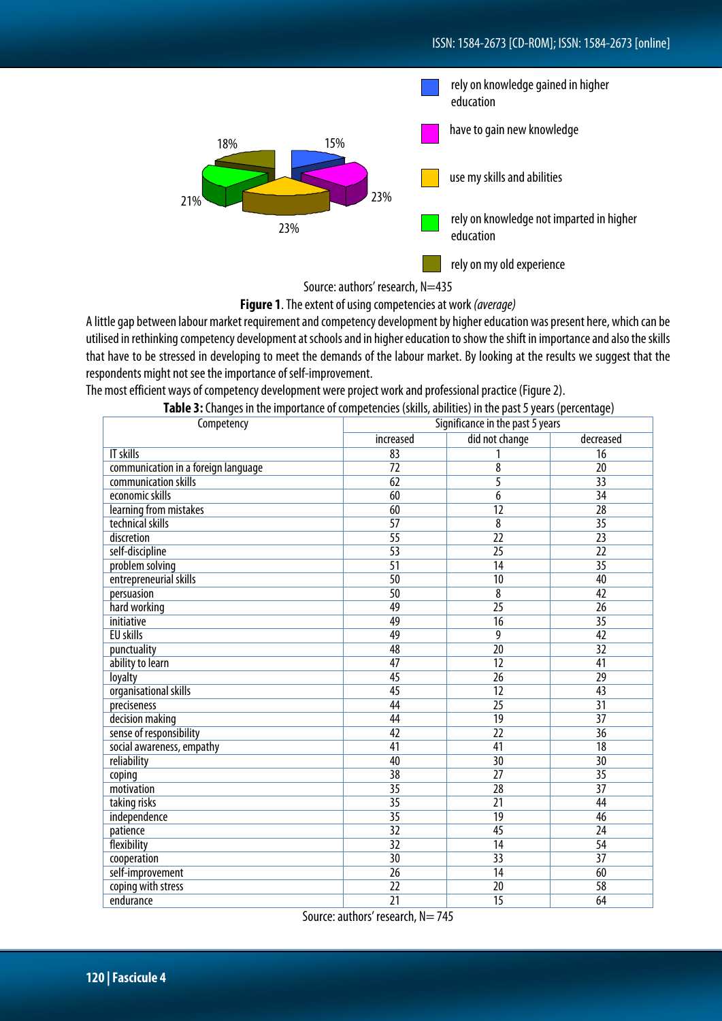

Source: authors' research, N=435

## **Figure 1**. The extent of using competencies at work *(average)*

A little gap between labour market requirement and competency development by higher education was present here, which can be utilised in rethinking competency development at schools and in higher education to show the shift in importance and also the skills that have to be stressed in developing to meet the demands of the labour market. By looking at the results we suggest that the respondents might not see the importance of self-improvement.

The most efficient ways of competency development were project work and professional practice (Figure 2).

| <b>Table 3:</b> Changes in the importance of competencies (skills, abilities) in the past 5 years (percentage) |  |  |
|----------------------------------------------------------------------------------------------------------------|--|--|
|                                                                                                                |  |  |

| Competency                          | Significance in the past 5 years |                         |                 |
|-------------------------------------|----------------------------------|-------------------------|-----------------|
|                                     | increased                        | did not change          | decreased       |
| <b>IT skills</b>                    | 83                               |                         | $\overline{16}$ |
| communication in a foreign language | $\overline{72}$                  | $\overline{\mathbf{8}}$ | $\overline{20}$ |
| communication skills                | 62                               | $\overline{5}$          | 33              |
| economic skills                     | 60                               | $\overline{6}$          | $\overline{34}$ |
| learning from mistakes              | 60                               | $\overline{12}$         | $\overline{28}$ |
| technical skills                    | $\overline{57}$                  | $\overline{\mathbf{8}}$ | $\overline{35}$ |
| discretion                          | $\overline{55}$                  | $\overline{22}$         | $\overline{23}$ |
| self-discipline                     | $\overline{53}$                  | $\overline{25}$         | $\overline{22}$ |
| problem solving                     | $\overline{51}$                  | $\overline{14}$         | $\overline{35}$ |
| entrepreneurial skills              | 50                               | $\overline{10}$         | 40              |
| persuasion                          | 50                               | $\overline{\mathbf{8}}$ | 42              |
| hard working                        | 49                               | $\overline{25}$         | $\overline{26}$ |
| initiative                          | 49                               | $\overline{16}$         | $\overline{35}$ |
| <b>EU skills</b>                    | 49                               | 9                       | 42              |
| punctuality                         | 48                               | $\overline{20}$         | $\overline{32}$ |
| ability to learn                    | 47                               | $\overline{12}$         | 41              |
| loyalty                             | 45                               | $\overline{26}$         | $\overline{29}$ |
| organisational skills               | $\overline{45}$                  | $\overline{12}$         | $\overline{43}$ |
| preciseness                         | 44                               | $\overline{25}$         | $\overline{31}$ |
| decision making                     | 44                               | $\overline{19}$         | $\overline{37}$ |
| sense of responsibility             | 42                               | $\overline{22}$         | $\overline{36}$ |
| social awareness, empathy           | 41                               | 41                      | $\overline{18}$ |
| reliability                         | 40                               | $\overline{30}$         | $\overline{30}$ |
| coping                              | $\overline{38}$                  | $\overline{27}$         | $\overline{35}$ |
| motivation                          | $\overline{35}$                  | $\overline{28}$         | $\overline{37}$ |
| taking risks                        | $\overline{35}$                  | $\overline{21}$         | 44              |
| independence                        | $\overline{35}$                  | $\overline{19}$         | 46              |
| patience                            | $\overline{32}$                  | 45                      | $\overline{24}$ |
| flexibility                         | $\overline{32}$                  | $\overline{14}$         | 54              |
| cooperation                         | 30                               | $\overline{33}$         | $\overline{37}$ |
| self-improvement                    | $\overline{26}$                  | $\overline{14}$         | 60              |
| coping with stress                  | $\overline{22}$                  | $\overline{20}$         | $\overline{58}$ |
| endurance                           | $\overline{21}$                  | $\overline{15}$         | 64              |

Source: authors' research, N= 745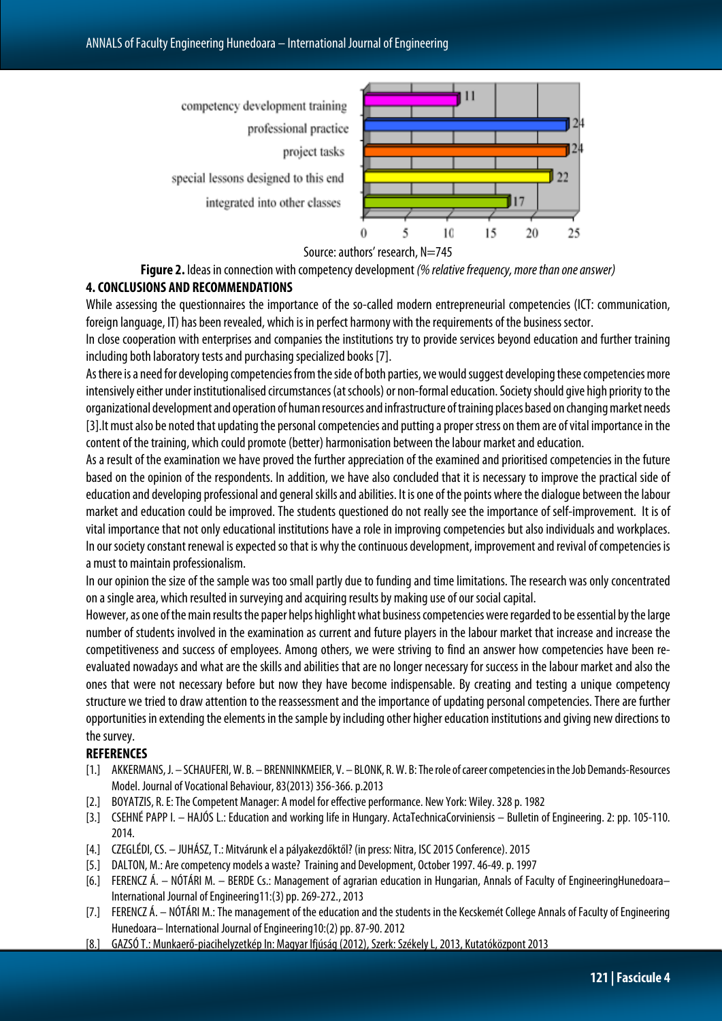

Source: authors' research, N=745

**Figure 2.** Ideas in connection with competency development *(% relative frequency, more than one answer)*

#### **4. CONCLUSIONS AND RECOMMENDATIONS**

While assessing the questionnaires the importance of the so-called modern entrepreneurial competencies (ICT: communication, foreign language, IT) has been revealed, which is in perfect harmony with the requirements of the business sector.

In close cooperation with enterprises and companies the institutions try to provide services beyond education and further training including both laboratory tests and purchasing specialized books [7].

As there is a need for developing competencies from the side of both parties, we would suggest developing these competencies more intensively either under institutionalised circumstances (at schools) or non-formal education. Society should give high priority to the organizational development and operation of human resources and infrastructure of training places based on changing market needs [3]. It must also be noted that updating the personal competencies and putting a proper stress on them are of vital importance in the content of the training, which could promote (better) harmonisation between the labour market and education.

As a result of the examination we have proved the further appreciation of the examined and prioritised competencies in the future based on the opinion of the respondents. In addition, we have also concluded that it is necessary to improve the practical side of education and developing professional and general skills and abilities. It is one of the points where the dialogue between the labour market and education could be improved. The students questioned do not really see the importance of self-improvement. It is of vital importance that not only educational institutions have a role in improving competencies but also individuals and workplaces. In our society constant renewal is expected so that is why the continuous development, improvement and revival of competencies is a must to maintain professionalism.

In our opinion the size of the sample was too small partly due to funding and time limitations. The research was only concentrated on a single area, which resulted in surveying and acquiring results by making use of our social capital.

However, as one of the main results the paper helps highlight what business competencies were regarded to be essential by thelarge number of students involved in the examination as current and future players in the labour market that increase and increase the competitiveness and success of employees. Among others, we were striving to find an answer how competencies have been reevaluated nowadays and what are the skills and abilities that are no longer necessary for success in the labour market and also the ones that were not necessary before but now they have become indispensable. By creating and testing a unique competency structure we tried to draw attention to the reassessment and the importance of updating personal competencies. There are further opportunities in extending the elements in the sample by including other higher education institutions and giving new directions to the survey.

#### **REFERENCES**

- [1.] AKKERMANS, J. SCHAUFERI, W. B. BRENNINKMEIER, V. BLONK, R. W. B: The role of career competencies in the Job Demands-Resources Model. Journal of Vocational Behaviour,83(2013) 356-366. p.2013
- [2.] BOYATZIS, R. E: The Competent Manager: A model for effective performance. New York: Wiley. 328 p. 1982
- [3.] CSEHNÉ PAPP I. HAJÓS L.: Education and working life in Hungary. ActaTechnicaCorviniensis Bulletin of Engineering. 2: pp. 105-110. 2014.
- [4.] CZEGLÉDI, CS. JUHÁSZ, T.: Mitvárunk el a pályakezdőktől? (in press: Nitra, ISC 2015 Conference). 2015
- [5.] DALTON, M.: Are competency models a waste? Training and Development, October 1997. 46-49. p. 1997
- [6.] FERENCZ Á. NÓTÁRI M. BERDE Cs.: Management of agrarian education in Hungarian, Annals of Faculty of EngineeringHunedoara– International Journal of Engineering11:(3) pp. 269-272., 2013
- [7.] FERENCZ Á. NÓTÁRI M.: The management of the education and the students in the Kecskemét College Annals of Faculty of Engineering Hunedoara– International Journal of Engineering10:(2) pp. 87-90. 2012
- [8.] GAZSÓ T.: Munkaerő-piacihelyzetkép In: Magyar Ifjúság (2012), Szerk: Székely L, 2013, Kutatóközpont 2013